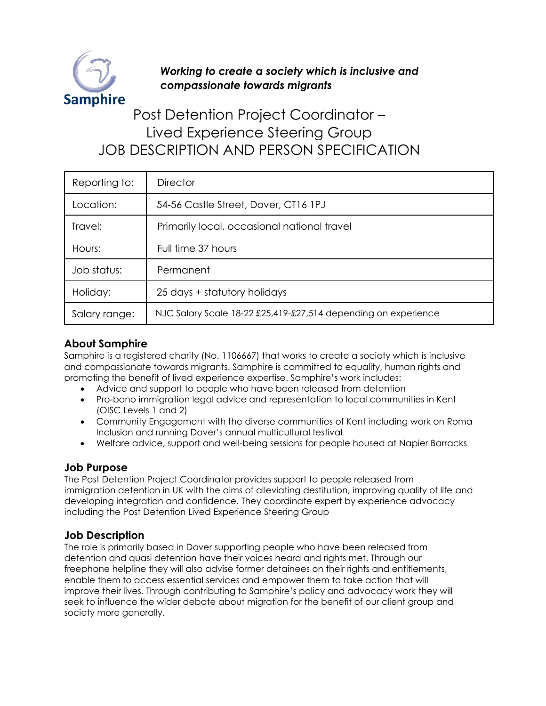

# *Working to create a society which is inclusive and compassionate towards migrants*

# Post Detention Project Coordinator – Lived Experience Steering Group JOB DESCRIPTION AND PERSON SPECIFICATION

| Reporting to: | <b>Director</b>                                                |
|---------------|----------------------------------------------------------------|
| Location:     | 54-56 Castle Street, Dover, CT16 1PJ                           |
| Travel:       | Primarily local, occasional national travel                    |
| Hours:        | Full time 37 hours                                             |
| Job status:   | Permanent                                                      |
| Holiday:      | 25 days + statutory holidays                                   |
| Salary range: | NJC Salary Scale 18-22 £25,419-£27,514 depending on experience |

## **About Samphire**

Samphire is a registered charity (No. 1106667) that works to create a society which is inclusive and compassionate towards migrants. Samphire is committed to equality, human rights and promoting the benefit of lived experience expertise. Samphire's work includes:

- Advice and support to people who have been released from detention
- Pro-bono immigration legal advice and representation to local communities in Kent (OISC Levels 1 and 2)
- Community Engagement with the diverse communities of Kent including work on Roma Inclusion and running Dover's annual multicultural festival
- Welfare advice, support and well-being sessions for people housed at Napier Barracks

#### **Job Purpose**

The Post Detention Project Coordinator provides support to people released from immigration detention in UK with the aims of alleviating destitution, improving quality of life and developing integration and confidence. They coordinate expert by experience advocacy including the Post Detention Lived Experience Steering Group

## **Job Description**

The role is primarily based in Dover supporting people who have been released from detention and quasi detention have their voices heard and rights met. Through our freephone helpline they will also advise former detainees on their rights and entitlements, enable them to access essential services and empower them to take action that will improve their lives. Through contributing to Samphire's policy and advocacy work they will seek to influence the wider debate about migration for the benefit of our client group and society more generally.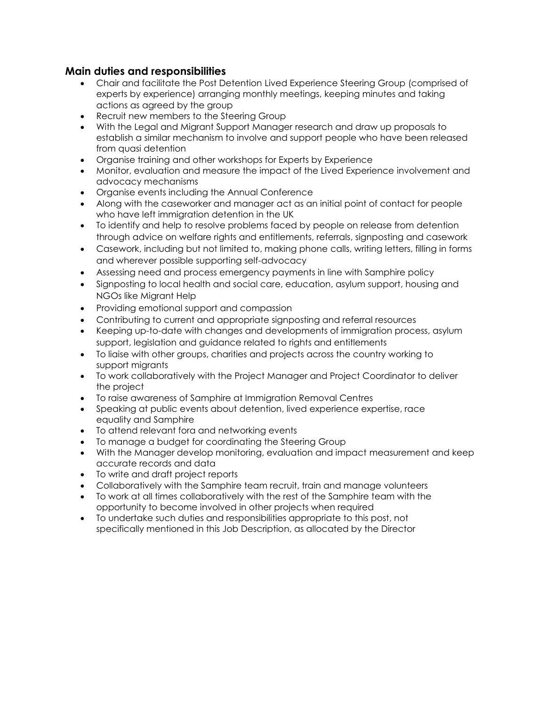#### **Main duties and responsibilities**

- Chair and facilitate the Post Detention Lived Experience Steering Group (comprised of experts by experience) arranging monthly meetings, keeping minutes and taking actions as agreed by the group
- Recruit new members to the Steering Group
- With the Legal and Migrant Support Manager research and draw up proposals to establish a similar mechanism to involve and support people who have been released from quasi detention
- Organise training and other workshops for Experts by Experience
- Monitor, evaluation and measure the impact of the Lived Experience involvement and advocacy mechanisms
- Organise events including the Annual Conference
- Along with the caseworker and manager act as an initial point of contact for people who have left immigration detention in the UK
- To identify and help to resolve problems faced by people on release from detention through advice on welfare rights and entitlements, referrals, signposting and casework
- Casework, including but not limited to, making phone calls, writing letters, filling in forms and wherever possible supporting self-advocacy
- Assessing need and process emergency payments in line with Samphire policy
- Signposting to local health and social care, education, asylum support, housing and NGOs like Migrant Help
- Providing emotional support and compassion
- Contributing to current and appropriate signposting and referral resources
- Keeping up-to-date with changes and developments of immigration process, asylum support, legislation and guidance related to rights and entitlements
- To liaise with other groups, charities and projects across the country working to support migrants
- To work collaboratively with the Project Manager and Project Coordinator to deliver the project
- To raise awareness of Samphire at Immigration Removal Centres
- Speaking at public events about detention, lived experience expertise, race equality and Samphire
- To attend relevant fora and networking events
- To manage a budget for coordinating the Steering Group
- With the Manager develop monitoring, evaluation and impact measurement and keep accurate records and data
- To write and draft project reports
- Collaboratively with the Samphire team recruit, train and manage volunteers
- To work at all times collaboratively with the rest of the Samphire team with the opportunity to become involved in other projects when required
- To undertake such duties and responsibilities appropriate to this post, not specifically mentioned in this Job Description, as allocated by the Director